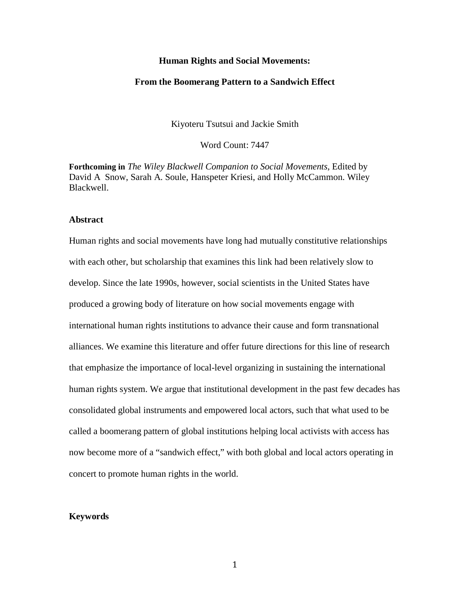### **Human Rights and Social Movements:**

#### **From the Boomerang Pattern to a Sandwich Effect**

Kiyoteru Tsutsui and Jackie Smith

Word Count: 7447

**Forthcoming in** *The Wiley Blackwell Companion to Social Movements*, Edited by David A Snow, Sarah A. Soule, Hanspeter Kriesi, and Holly McCammon. Wiley Blackwell.

# **Abstract**

Human rights and social movements have long had mutually constitutive relationships with each other, but scholarship that examines this link had been relatively slow to develop. Since the late 1990s, however, social scientists in the United States have produced a growing body of literature on how social movements engage with international human rights institutions to advance their cause and form transnational alliances. We examine this literature and offer future directions for this line of research that emphasize the importance of local-level organizing in sustaining the international human rights system. We argue that institutional development in the past few decades has consolidated global instruments and empowered local actors, such that what used to be called a boomerang pattern of global institutions helping local activists with access has now become more of a "sandwich effect," with both global and local actors operating in concert to promote human rights in the world.

#### **Keywords**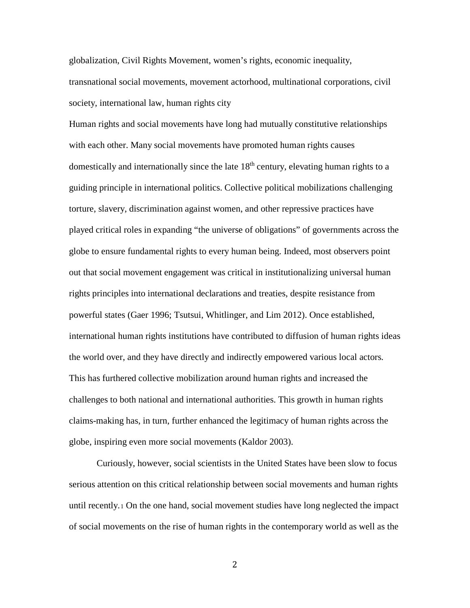globalization, Civil Rights Movement, women's rights, economic inequality, transnational social movements, movement actorhood, multinational corporations, civil society, international law, human rights city

Human rights and social movements have long had mutually constitutive relationships with each other. Many social movements have promoted human rights causes domestically and internationally since the late 18<sup>th</sup> century, elevating human rights to a guiding principle in international politics. Collective political mobilizations challenging torture, slavery, discrimination against women, and other repressive practices have played critical roles in expanding "the universe of obligations" of governments across the globe to ensure fundamental rights to every human being. Indeed, most observers point out that social movement engagement was critical in institutionalizing universal human rights principles into international declarations and treaties, despite resistance from powerful states (Gaer 1996; Tsutsui, Whitlinger, and Lim 2012). Once established, international human rights institutions have contributed to diffusion of human rights ideas the world over, and they have directly and indirectly empowered various local actors. This has furthered collective mobilization around human rights and increased the challenges to both national and international authorities. This growth in human rights claims-making has, in turn, further enhanced the legitimacy of human rights across the globe, inspiring even more social movements (Kaldor 2003).

Curiously, however, social scientists in the United States have been slow to focus serious attention on this critical relationship between social movements and human rights until recently.[1](#page-28-0) On the one hand, social movement studies have long neglected the impact of social movements on the rise of human rights in the contemporary world as well as the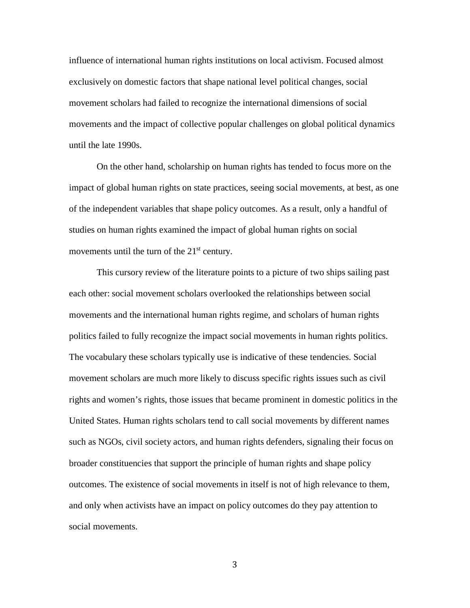influence of international human rights institutions on local activism. Focused almost exclusively on domestic factors that shape national level political changes, social movement scholars had failed to recognize the international dimensions of social movements and the impact of collective popular challenges on global political dynamics until the late 1990s.

On the other hand, scholarship on human rights has tended to focus more on the impact of global human rights on state practices, seeing social movements, at best, as one of the independent variables that shape policy outcomes. As a result, only a handful of studies on human rights examined the impact of global human rights on social movements until the turn of the 21<sup>st</sup> century.

This cursory review of the literature points to a picture of two ships sailing past each other: social movement scholars overlooked the relationships between social movements and the international human rights regime, and scholars of human rights politics failed to fully recognize the impact social movements in human rights politics. The vocabulary these scholars typically use is indicative of these tendencies. Social movement scholars are much more likely to discuss specific rights issues such as civil rights and women's rights, those issues that became prominent in domestic politics in the United States. Human rights scholars tend to call social movements by different names such as NGOs, civil society actors, and human rights defenders, signaling their focus on broader constituencies that support the principle of human rights and shape policy outcomes. The existence of social movements in itself is not of high relevance to them, and only when activists have an impact on policy outcomes do they pay attention to social movements.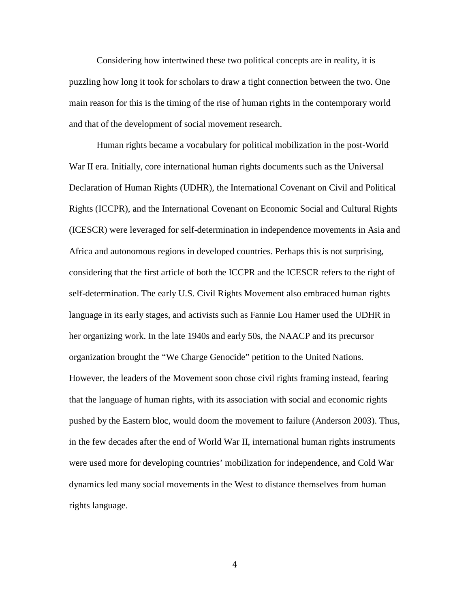Considering how intertwined these two political concepts are in reality, it is puzzling how long it took for scholars to draw a tight connection between the two. One main reason for this is the timing of the rise of human rights in the contemporary world and that of the development of social movement research.

Human rights became a vocabulary for political mobilization in the post-World War II era. Initially, core international human rights documents such as the Universal Declaration of Human Rights (UDHR), the International Covenant on Civil and Political Rights (ICCPR), and the International Covenant on Economic Social and Cultural Rights (ICESCR) were leveraged for self-determination in independence movements in Asia and Africa and autonomous regions in developed countries. Perhaps this is not surprising, considering that the first article of both the ICCPR and the ICESCR refers to the right of self-determination. The early U.S. Civil Rights Movement also embraced human rights language in its early stages, and activists such as Fannie Lou Hamer used the UDHR in her organizing work. In the late 1940s and early 50s, the NAACP and its precursor organization brought the "We Charge Genocide" petition to the United Nations. However, the leaders of the Movement soon chose civil rights framing instead, fearing that the language of human rights, with its association with social and economic rights pushed by the Eastern bloc, would doom the movement to failure (Anderson 2003). Thus, in the few decades after the end of World War II, international human rights instruments were used more for developing countries' mobilization for independence, and Cold War dynamics led many social movements in the West to distance themselves from human rights language.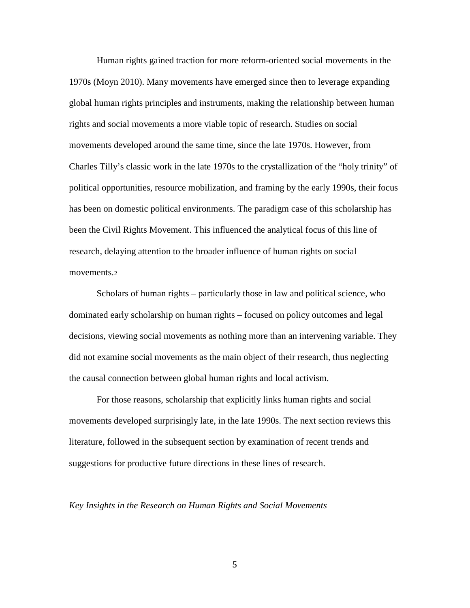Human rights gained traction for more reform-oriented social movements in the 1970s (Moyn 2010). Many movements have emerged since then to leverage expanding global human rights principles and instruments, making the relationship between human rights and social movements a more viable topic of research. Studies on social movements developed around the same time, since the late 1970s. However, from Charles Tilly's classic work in the late 1970s to the crystallization of the "holy trinity" of political opportunities, resource mobilization, and framing by the early 1990s, their focus has been on domestic political environments. The paradigm case of this scholarship has been the Civil Rights Movement. This influenced the analytical focus of this line of research, delaying attention to the broader influence of human rights on social movements.[2](#page-29-0)

Scholars of human rights – particularly those in law and political science, who dominated early scholarship on human rights – focused on policy outcomes and legal decisions, viewing social movements as nothing more than an intervening variable. They did not examine social movements as the main object of their research, thus neglecting the causal connection between global human rights and local activism.

For those reasons, scholarship that explicitly links human rights and social movements developed surprisingly late, in the late 1990s. The next section reviews this literature, followed in the subsequent section by examination of recent trends and suggestions for productive future directions in these lines of research.

*Key Insights in the Research on Human Rights and Social Movements*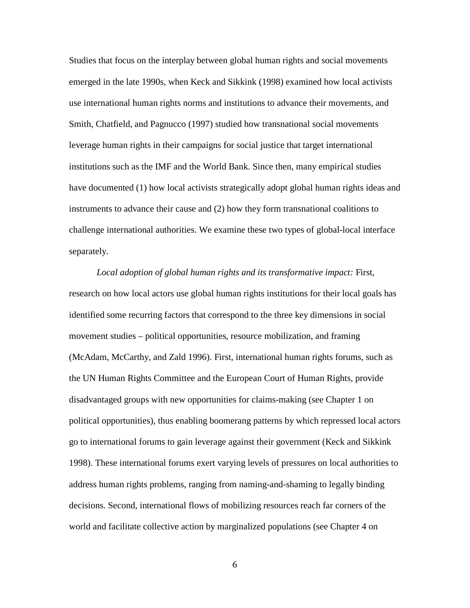Studies that focus on the interplay between global human rights and social movements emerged in the late 1990s, when Keck and Sikkink (1998) examined how local activists use international human rights norms and institutions to advance their movements, and Smith, Chatfield, and Pagnucco (1997) studied how transnational social movements leverage human rights in their campaigns for social justice that target international institutions such as the IMF and the World Bank. Since then, many empirical studies have documented (1) how local activists strategically adopt global human rights ideas and instruments to advance their cause and (2) how they form transnational coalitions to challenge international authorities. We examine these two types of global-local interface separately.

*Local adoption of global human rights and its transformative impact:* First, research on how local actors use global human rights institutions for their local goals has identified some recurring factors that correspond to the three key dimensions in social movement studies – political opportunities, resource mobilization, and framing (McAdam, McCarthy, and Zald 1996). First, international human rights forums, such as the UN Human Rights Committee and the European Court of Human Rights, provide disadvantaged groups with new opportunities for claims-making (see Chapter 1 on political opportunities), thus enabling boomerang patterns by which repressed local actors go to international forums to gain leverage against their government (Keck and Sikkink 1998). These international forums exert varying levels of pressures on local authorities to address human rights problems, ranging from naming-and-shaming to legally binding decisions. Second, international flows of mobilizing resources reach far corners of the world and facilitate collective action by marginalized populations (see Chapter 4 on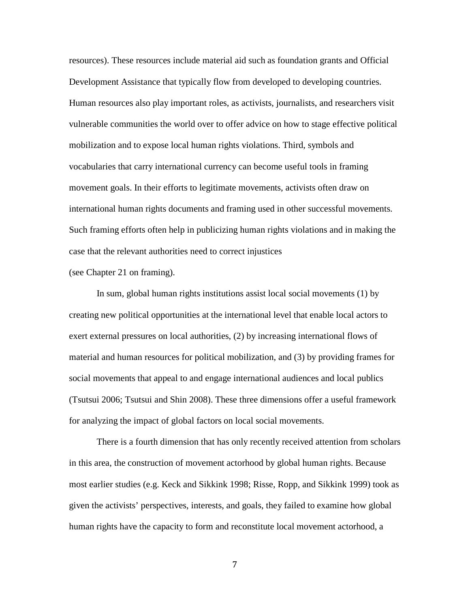resources). These resources include material aid such as foundation grants and Official Development Assistance that typically flow from developed to developing countries. Human resources also play important roles, as activists, journalists, and researchers visit vulnerable communities the world over to offer advice on how to stage effective political mobilization and to expose local human rights violations. Third, symbols and vocabularies that carry international currency can become useful tools in framing movement goals. In their efforts to legitimate movements, activists often draw on international human rights documents and framing used in other successful movements. Such framing efforts often help in publicizing human rights violations and in making the case that the relevant authorities need to correct injustices

(see Chapter 21 on framing).

In sum, global human rights institutions assist local social movements (1) by creating new political opportunities at the international level that enable local actors to exert external pressures on local authorities, (2) by increasing international flows of material and human resources for political mobilization, and (3) by providing frames for social movements that appeal to and engage international audiences and local publics (Tsutsui 2006; Tsutsui and Shin 2008). These three dimensions offer a useful framework for analyzing the impact of global factors on local social movements.

There is a fourth dimension that has only recently received attention from scholars in this area, the construction of movement actorhood by global human rights. Because most earlier studies (e.g. Keck and Sikkink 1998; Risse, Ropp, and Sikkink 1999) took as given the activists' perspectives, interests, and goals, they failed to examine how global human rights have the capacity to form and reconstitute local movement actorhood, a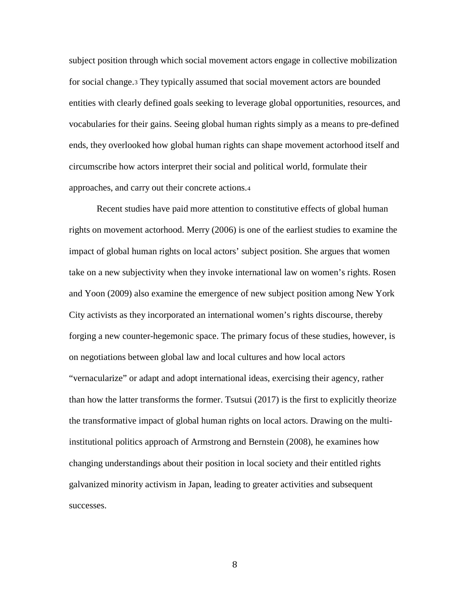subject position through which social movement actors engage in collective mobilization for social change.[3](#page-29-1) They typically assumed that social movement actors are bounded entities with clearly defined goals seeking to leverage global opportunities, resources, and vocabularies for their gains. Seeing global human rights simply as a means to pre-defined ends, they overlooked how global human rights can shape movement actorhood itself and circumscribe how actors interpret their social and political world, formulate their approaches, and carry out their concrete actions[.4](#page-29-2)

Recent studies have paid more attention to constitutive effects of global human rights on movement actorhood. Merry (2006) is one of the earliest studies to examine the impact of global human rights on local actors' subject position. She argues that women take on a new subjectivity when they invoke international law on women's rights. Rosen and Yoon (2009) also examine the emergence of new subject position among New York City activists as they incorporated an international women's rights discourse, thereby forging a new counter-hegemonic space. The primary focus of these studies, however, is on negotiations between global law and local cultures and how local actors "vernacularize" or adapt and adopt international ideas, exercising their agency, rather than how the latter transforms the former. Tsutsui (2017) is the first to explicitly theorize the transformative impact of global human rights on local actors. Drawing on the multiinstitutional politics approach of Armstrong and Bernstein (2008), he examines how changing understandings about their position in local society and their entitled rights galvanized minority activism in Japan, leading to greater activities and subsequent successes.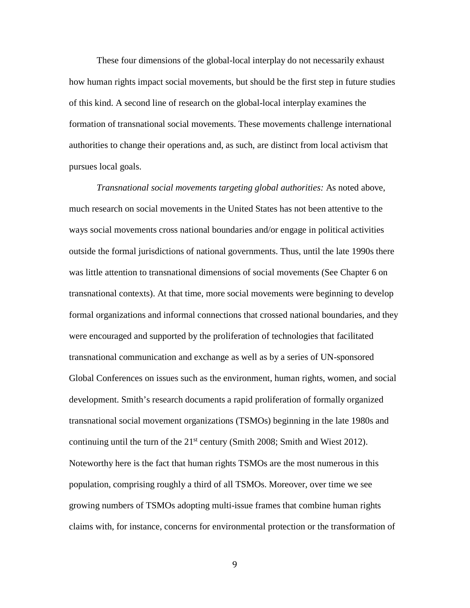These four dimensions of the global-local interplay do not necessarily exhaust how human rights impact social movements, but should be the first step in future studies of this kind. A second line of research on the global-local interplay examines the formation of transnational social movements. These movements challenge international authorities to change their operations and, as such, are distinct from local activism that pursues local goals.

*Transnational social movements targeting global authorities:* As noted above, much research on social movements in the United States has not been attentive to the ways social movements cross national boundaries and/or engage in political activities outside the formal jurisdictions of national governments. Thus, until the late 1990s there was little attention to transnational dimensions of social movements (See Chapter 6 on transnational contexts). At that time, more social movements were beginning to develop formal organizations and informal connections that crossed national boundaries, and they were encouraged and supported by the proliferation of technologies that facilitated transnational communication and exchange as well as by a series of UN-sponsored Global Conferences on issues such as the environment, human rights, women, and social development. Smith's research documents a rapid proliferation of formally organized transnational social movement organizations (TSMOs) beginning in the late 1980s and continuing until the turn of the  $21<sup>st</sup>$  century (Smith 2008; Smith and Wiest 2012). Noteworthy here is the fact that human rights TSMOs are the most numerous in this population, comprising roughly a third of all TSMOs. Moreover, over time we see growing numbers of TSMOs adopting multi-issue frames that combine human rights claims with, for instance, concerns for environmental protection or the transformation of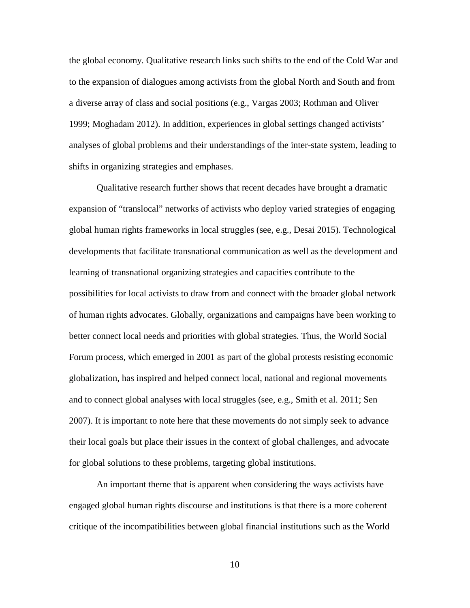the global economy. Qualitative research links such shifts to the end of the Cold War and to the expansion of dialogues among activists from the global North and South and from a diverse array of class and social positions (e.g., Vargas 2003; Rothman and Oliver 1999; Moghadam 2012). In addition, experiences in global settings changed activists' analyses of global problems and their understandings of the inter-state system, leading to shifts in organizing strategies and emphases.

Qualitative research further shows that recent decades have brought a dramatic expansion of "translocal" networks of activists who deploy varied strategies of engaging global human rights frameworks in local struggles (see, e.g., Desai 2015). Technological developments that facilitate transnational communication as well as the development and learning of transnational organizing strategies and capacities contribute to the possibilities for local activists to draw from and connect with the broader global network of human rights advocates. Globally, organizations and campaigns have been working to better connect local needs and priorities with global strategies. Thus, the World Social Forum process, which emerged in 2001 as part of the global protests resisting economic globalization, has inspired and helped connect local, national and regional movements and to connect global analyses with local struggles (see, e.g., Smith et al. 2011; Sen 2007). It is important to note here that these movements do not simply seek to advance their local goals but place their issues in the context of global challenges, and advocate for global solutions to these problems, targeting global institutions.

An important theme that is apparent when considering the ways activists have engaged global human rights discourse and institutions is that there is a more coherent critique of the incompatibilities between global financial institutions such as the World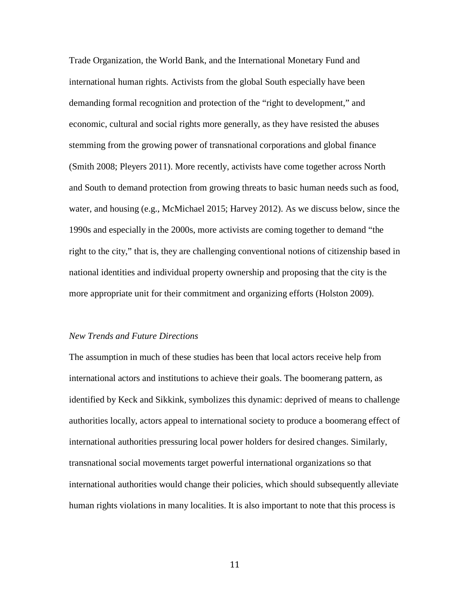Trade Organization, the World Bank, and the International Monetary Fund and international human rights. Activists from the global South especially have been demanding formal recognition and protection of the "right to development," and economic, cultural and social rights more generally, as they have resisted the abuses stemming from the growing power of transnational corporations and global finance (Smith 2008; Pleyers 2011). More recently, activists have come together across North and South to demand protection from growing threats to basic human needs such as food, water, and housing (e.g., McMichael 2015; Harvey 2012). As we discuss below, since the 1990s and especially in the 2000s, more activists are coming together to demand "the right to the city," that is, they are challenging conventional notions of citizenship based in national identities and individual property ownership and proposing that the city is the more appropriate unit for their commitment and organizing efforts (Holston 2009).

#### *New Trends and Future Directions*

The assumption in much of these studies has been that local actors receive help from international actors and institutions to achieve their goals. The boomerang pattern, as identified by Keck and Sikkink, symbolizes this dynamic: deprived of means to challenge authorities locally, actors appeal to international society to produce a boomerang effect of international authorities pressuring local power holders for desired changes. Similarly, transnational social movements target powerful international organizations so that international authorities would change their policies, which should subsequently alleviate human rights violations in many localities. It is also important to note that this process is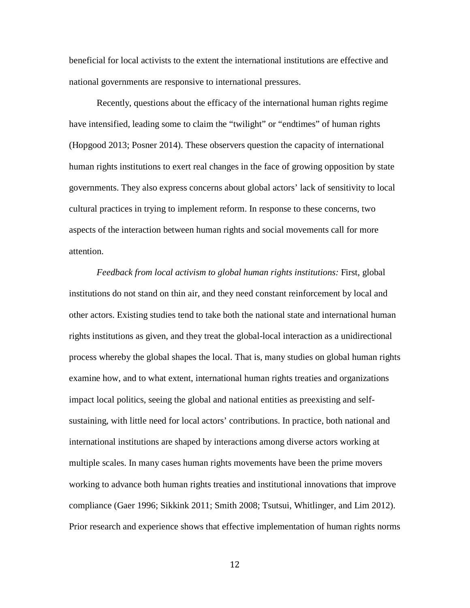beneficial for local activists to the extent the international institutions are effective and national governments are responsive to international pressures.

Recently, questions about the efficacy of the international human rights regime have intensified, leading some to claim the "twilight" or "endtimes" of human rights (Hopgood 2013; Posner 2014). These observers question the capacity of international human rights institutions to exert real changes in the face of growing opposition by state governments. They also express concerns about global actors' lack of sensitivity to local cultural practices in trying to implement reform. In response to these concerns, two aspects of the interaction between human rights and social movements call for more attention.

*Feedback from local activism to global human rights institutions:* First, global institutions do not stand on thin air, and they need constant reinforcement by local and other actors. Existing studies tend to take both the national state and international human rights institutions as given, and they treat the global-local interaction as a unidirectional process whereby the global shapes the local. That is, many studies on global human rights examine how, and to what extent, international human rights treaties and organizations impact local politics, seeing the global and national entities as preexisting and selfsustaining, with little need for local actors' contributions. In practice, both national and international institutions are shaped by interactions among diverse actors working at multiple scales. In many cases human rights movements have been the prime movers working to advance both human rights treaties and institutional innovations that improve compliance (Gaer 1996; Sikkink 2011; Smith 2008; Tsutsui, Whitlinger, and Lim 2012). Prior research and experience shows that effective implementation of human rights norms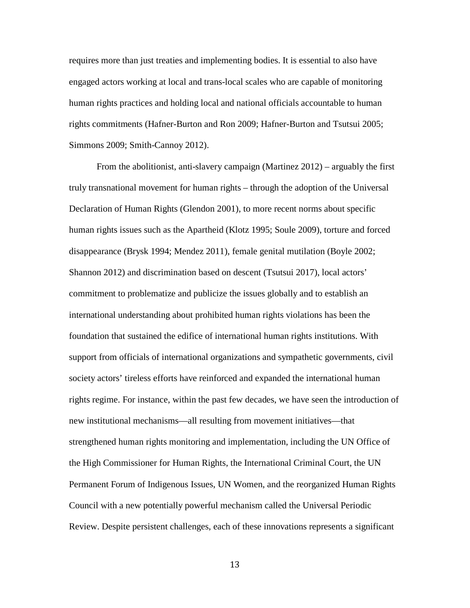requires more than just treaties and implementing bodies. It is essential to also have engaged actors working at local and trans-local scales who are capable of monitoring human rights practices and holding local and national officials accountable to human rights commitments (Hafner-Burton and Ron 2009; Hafner-Burton and Tsutsui 2005; Simmons 2009; Smith-Cannoy 2012).

From the abolitionist, anti-slavery campaign (Martinez 2012) – arguably the first truly transnational movement for human rights – through the adoption of the Universal Declaration of Human Rights (Glendon 2001), to more recent norms about specific human rights issues such as the Apartheid (Klotz 1995; Soule 2009), torture and forced disappearance (Brysk 1994; Mendez 2011), female genital mutilation (Boyle 2002; Shannon 2012) and discrimination based on descent (Tsutsui 2017), local actors' commitment to problematize and publicize the issues globally and to establish an international understanding about prohibited human rights violations has been the foundation that sustained the edifice of international human rights institutions. With support from officials of international organizations and sympathetic governments, civil society actors' tireless efforts have reinforced and expanded the international human rights regime. For instance, within the past few decades, we have seen the introduction of new institutional mechanisms—all resulting from movement initiatives—that strengthened human rights monitoring and implementation, including the UN Office of the High Commissioner for Human Rights, the International Criminal Court, the UN Permanent Forum of Indigenous Issues, UN Women, and the reorganized Human Rights Council with a new potentially powerful mechanism called the Universal Periodic Review. Despite persistent challenges, each of these innovations represents a significant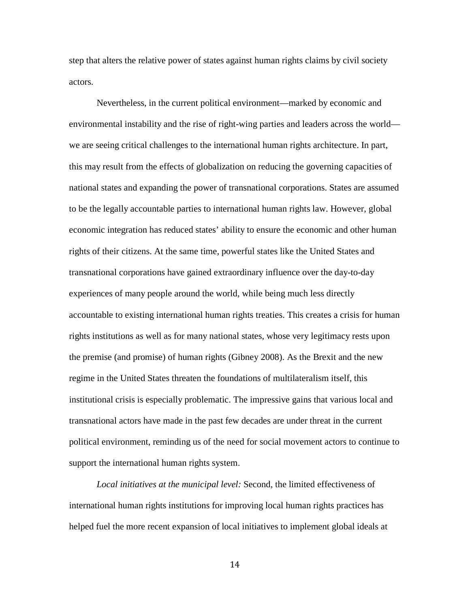step that alters the relative power of states against human rights claims by civil society actors.

Nevertheless, in the current political environment—marked by economic and environmental instability and the rise of right-wing parties and leaders across the world we are seeing critical challenges to the international human rights architecture. In part, this may result from the effects of globalization on reducing the governing capacities of national states and expanding the power of transnational corporations. States are assumed to be the legally accountable parties to international human rights law. However, global economic integration has reduced states' ability to ensure the economic and other human rights of their citizens. At the same time, powerful states like the United States and transnational corporations have gained extraordinary influence over the day-to-day experiences of many people around the world, while being much less directly accountable to existing international human rights treaties. This creates a crisis for human rights institutions as well as for many national states, whose very legitimacy rests upon the premise (and promise) of human rights (Gibney 2008). As the Brexit and the new regime in the United States threaten the foundations of multilateralism itself, this institutional crisis is especially problematic. The impressive gains that various local and transnational actors have made in the past few decades are under threat in the current political environment, reminding us of the need for social movement actors to continue to support the international human rights system.

*Local initiatives at the municipal level:* Second, the limited effectiveness of international human rights institutions for improving local human rights practices has helped fuel the more recent expansion of local initiatives to implement global ideals at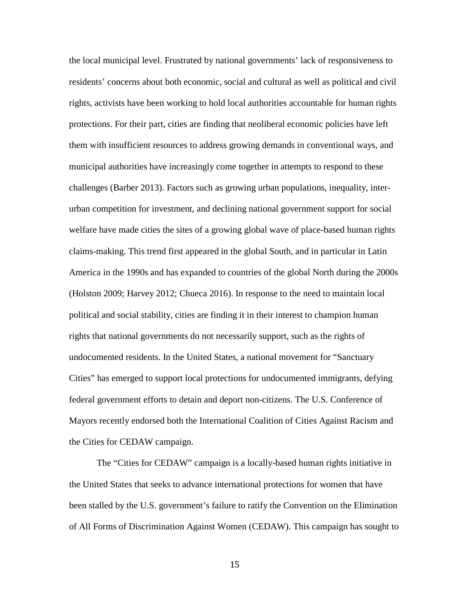the local municipal level. Frustrated by national governments' lack of responsiveness to residents' concerns about both economic, social and cultural as well as political and civil rights, activists have been working to hold local authorities accountable for human rights protections. For their part, cities are finding that neoliberal economic policies have left them with insufficient resources to address growing demands in conventional ways, and municipal authorities have increasingly come together in attempts to respond to these challenges (Barber 2013). Factors such as growing urban populations, inequality, interurban competition for investment, and declining national government support for social welfare have made cities the sites of a growing global wave of place-based human rights claims-making. This trend first appeared in the global South, and in particular in Latin America in the 1990s and has expanded to countries of the global North during the 2000s (Holston 2009; Harvey 2012; Chueca 2016). In response to the need to maintain local political and social stability, cities are finding it in their interest to champion human rights that national governments do not necessarily support, such as the rights of undocumented residents. In the United States, a national movement for "Sanctuary Cities" has emerged to support local protections for undocumented immigrants, defying federal government efforts to detain and deport non-citizens. The U.S. Conference of Mayors recently endorsed both the International Coalition of Cities Against Racism and the Cities for CEDAW campaign.

The "Cities for CEDAW" campaign is a locally-based human rights initiative in the United States that seeks to advance international protections for women that have been stalled by the U.S. government's failure to ratify the Convention on the Elimination of All Forms of Discrimination Against Women (CEDAW). This campaign has sought to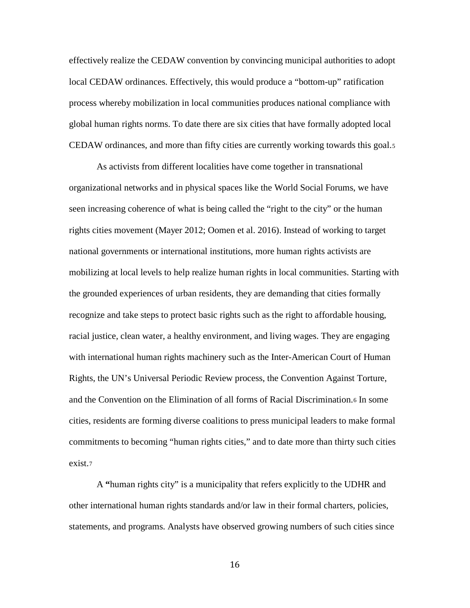effectively realize the CEDAW convention by convincing municipal authorities to adopt local CEDAW ordinances. Effectively, this would produce a "bottom-up" ratification process whereby mobilization in local communities produces national compliance with global human rights norms. To date there are six cities that have formally adopted local CEDAW ordinances, and more than fifty cities are currently working towards this goal.[5](#page-29-3)

As activists from different localities have come together in transnational organizational networks and in physical spaces like the World Social Forums, we have seen increasing coherence of what is being called the "right to the city" or the human rights cities movement (Mayer 2012; Oomen et al. 2016). Instead of working to target national governments or international institutions, more human rights activists are mobilizing at local levels to help realize human rights in local communities. Starting with the grounded experiences of urban residents, they are demanding that cities formally recognize and take steps to protect basic rights such as the right to affordable housing, racial justice, clean water, a healthy environment, and living wages. They are engaging with international human rights machinery such as the Inter-American Court of Human Rights, the UN's Universal Periodic Review process, the Convention Against Torture, and the Convention on the Elimination of all forms of Racial Discrimination.[6](#page-29-4) In some cities, residents are forming diverse coalitions to press municipal leaders to make formal commitments to becoming "human rights cities," and to date more than thirty such cities exist.[7](#page-30-0)

A **"**human rights city" is a municipality that refers explicitly to the UDHR and other international human rights standards and/or law in their formal charters, policies, statements, and programs. Analysts have observed growing numbers of such cities since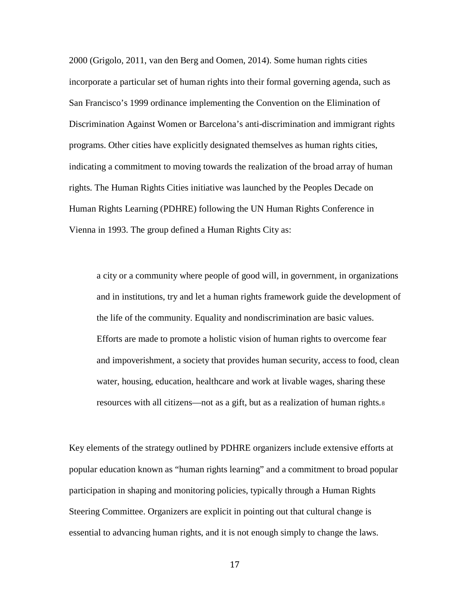2000 (Grigolo, 2011, van den Berg and Oomen, 2014). Some human rights cities incorporate a particular set of human rights into their formal governing agenda, such as San Francisco's 1999 ordinance implementing the Convention on the Elimination of Discrimination Against Women or Barcelona's anti-discrimination and immigrant rights programs. Other cities have explicitly designated themselves as human rights cities, indicating a commitment to moving towards the realization of the broad array of human rights. The Human Rights Cities initiative was launched by the Peoples Decade on Human Rights Learning (PDHRE) following the UN Human Rights Conference in Vienna in 1993. The group defined a Human Rights City as:

a city or a community where people of good will, in government, in organizations and in institutions, try and let a human rights framework guide the development of the life of the community. Equality and nondiscrimination are basic values. Efforts are made to promote a holistic vision of human rights to overcome fear and impoverishment, a society that provides human security, access to food, clean water, housing, education, healthcare and work at livable wages, sharing these resources with all citizens—not as a gift, but as a realization of human rights.[8](#page-30-1)

Key elements of the strategy outlined by PDHRE organizers include extensive efforts at popular education known as "human rights learning" and a commitment to broad popular participation in shaping and monitoring policies, typically through a Human Rights Steering Committee. Organizers are explicit in pointing out that cultural change is essential to advancing human rights, and it is not enough simply to change the laws.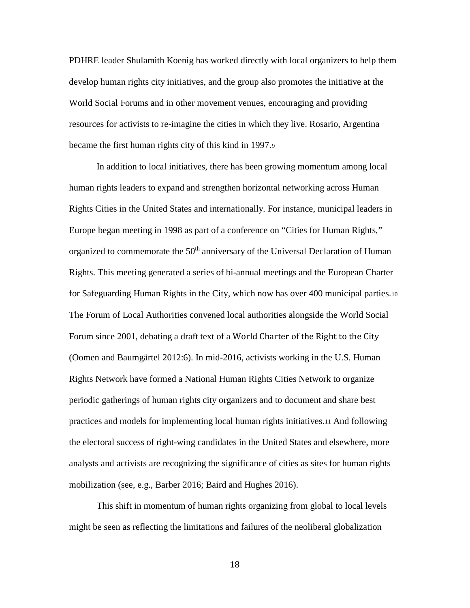PDHRE leader Shulamith Koenig has worked directly with local organizers to help them develop human rights city initiatives, and the group also promotes the initiative at the World Social Forums and in other movement venues, encouraging and providing resources for activists to re-imagine the cities in which they live. Rosario, Argentina became the first human rights city of this kind in 1997.[9](#page-30-2)

In addition to local initiatives, there has been growing momentum among local human rights leaders to expand and strengthen horizontal networking across Human Rights Cities in the United States and internationally. For instance, municipal leaders in Europe began meeting in 1998 as part of a conference on "Cities for Human Rights," organized to commemorate the 50<sup>th</sup> anniversary of the Universal Declaration of Human Rights. This meeting generated a series of bi-annual meetings and the European Charter for Safeguarding Human Rights in the City, which now has over 400 municipal parties.[10](#page-30-3) The Forum of Local Authorities convened local authorities alongside the World Social Forum since 2001, debating a draft text of a World Charter of the Right to the City (Oomen and Baumgärtel 2012:6). In mid-2016, activists working in the U.S. Human Rights Network have formed a National Human Rights Cities Network to organize periodic gatherings of human rights city organizers and to document and share best practices and models for implementing local human rights initiatives[.11](#page-30-4) And following the electoral success of right-wing candidates in the United States and elsewhere, more analysts and activists are recognizing the significance of cities as sites for human rights mobilization (see, e.g., Barber 2016; Baird and Hughes 2016).

This shift in momentum of human rights organizing from global to local levels might be seen as reflecting the limitations and failures of the neoliberal globalization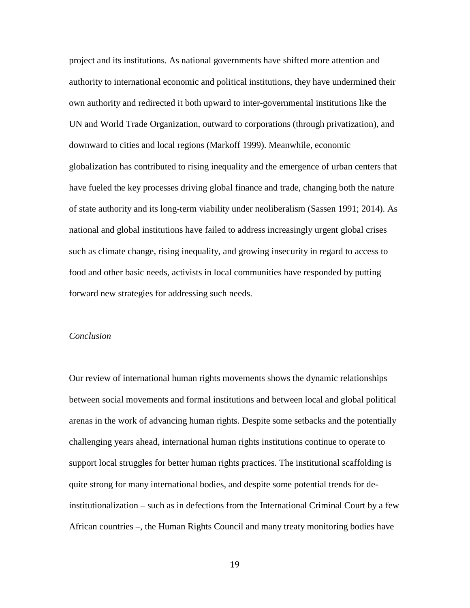project and its institutions. As national governments have shifted more attention and authority to international economic and political institutions, they have undermined their own authority and redirected it both upward to inter-governmental institutions like the UN and World Trade Organization, outward to corporations (through privatization), and downward to cities and local regions (Markoff 1999). Meanwhile, economic globalization has contributed to rising inequality and the emergence of urban centers that have fueled the key processes driving global finance and trade, changing both the nature of state authority and its long-term viability under neoliberalism (Sassen 1991; 2014). As national and global institutions have failed to address increasingly urgent global crises such as climate change, rising inequality, and growing insecurity in regard to access to food and other basic needs, activists in local communities have responded by putting forward new strategies for addressing such needs.

#### *Conclusion*

Our review of international human rights movements shows the dynamic relationships between social movements and formal institutions and between local and global political arenas in the work of advancing human rights. Despite some setbacks and the potentially challenging years ahead, international human rights institutions continue to operate to support local struggles for better human rights practices. The institutional scaffolding is quite strong for many international bodies, and despite some potential trends for deinstitutionalization – such as in defections from the International Criminal Court by a few African countries –, the Human Rights Council and many treaty monitoring bodies have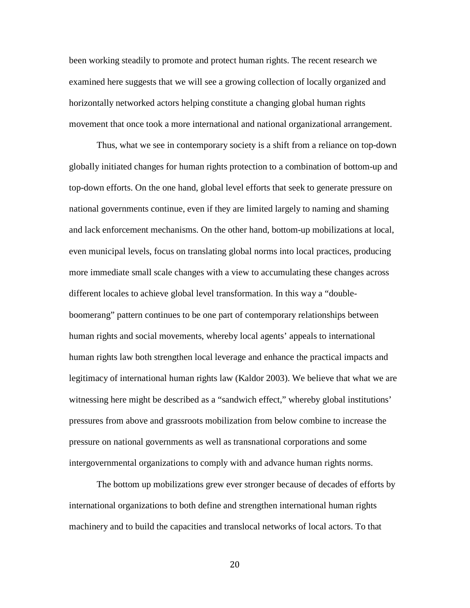been working steadily to promote and protect human rights. The recent research we examined here suggests that we will see a growing collection of locally organized and horizontally networked actors helping constitute a changing global human rights movement that once took a more international and national organizational arrangement.

Thus, what we see in contemporary society is a shift from a reliance on top-down globally initiated changes for human rights protection to a combination of bottom-up and top-down efforts. On the one hand, global level efforts that seek to generate pressure on national governments continue, even if they are limited largely to naming and shaming and lack enforcement mechanisms. On the other hand, bottom-up mobilizations at local, even municipal levels, focus on translating global norms into local practices, producing more immediate small scale changes with a view to accumulating these changes across different locales to achieve global level transformation. In this way a "doubleboomerang" pattern continues to be one part of contemporary relationships between human rights and social movements, whereby local agents' appeals to international human rights law both strengthen local leverage and enhance the practical impacts and legitimacy of international human rights law (Kaldor 2003). We believe that what we are witnessing here might be described as a "sandwich effect," whereby global institutions' pressures from above and grassroots mobilization from below combine to increase the pressure on national governments as well as transnational corporations and some intergovernmental organizations to comply with and advance human rights norms.

The bottom up mobilizations grew ever stronger because of decades of efforts by international organizations to both define and strengthen international human rights machinery and to build the capacities and translocal networks of local actors. To that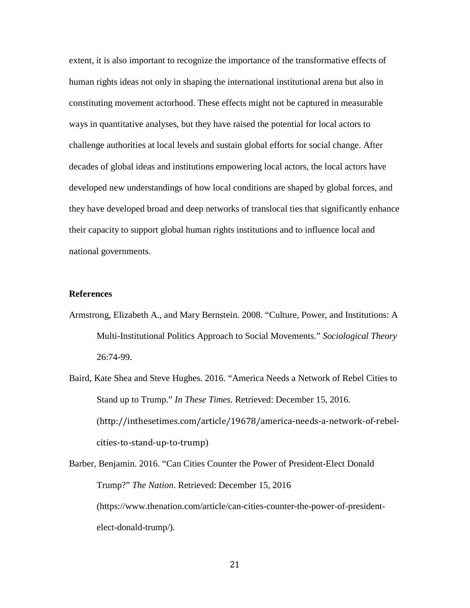extent, it is also important to recognize the importance of the transformative effects of human rights ideas not only in shaping the international institutional arena but also in constituting movement actorhood. These effects might not be captured in measurable ways in quantitative analyses, but they have raised the potential for local actors to challenge authorities at local levels and sustain global efforts for social change. After decades of global ideas and institutions empowering local actors, the local actors have developed new understandings of how local conditions are shaped by global forces, and they have developed broad and deep networks of translocal ties that significantly enhance their capacity to support global human rights institutions and to influence local and national governments.

## **References**

- Armstrong, Elizabeth A., and Mary Bernstein. 2008. "Culture, Power, and Institutions: A Multi-Institutional Politics Approach to Social Movements." *Sociological Theory* 26:74-99.
- Baird, Kate Shea and Steve Hughes. 2016. "America Needs a Network of Rebel Cities to Stand up to Trump." *In These Times.* Retrieved: December 15, 2016. (http://inthesetimes.com/article/19678/america-needs-a-network-of-rebelcities-to-stand-up-to-trump)

Barber, Benjamin. 2016. "Can Cities Counter the Power of President-Elect Donald Trump?" *The Nation*. Retrieved: December 15, 2016 (https://www.thenation.com/article/can-cities-counter-the-power-of-presidentelect-donald-trump/).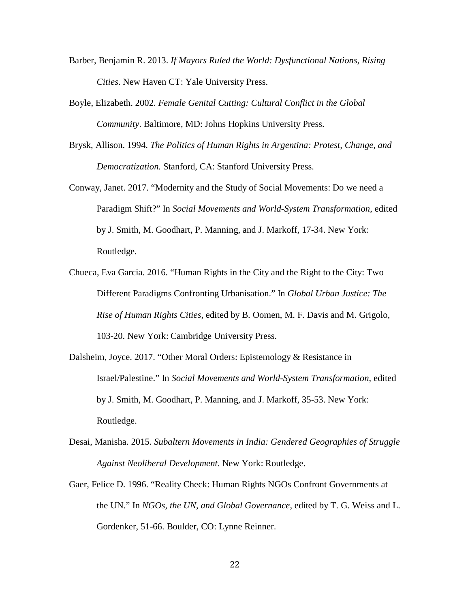- Barber, Benjamin R. 2013. *If Mayors Ruled the World: Dysfunctional Nations, Rising Cities*. New Haven CT: Yale University Press.
- Boyle, Elizabeth. 2002. *Female Genital Cutting: Cultural Conflict in the Global Community*. Baltimore, MD: Johns Hopkins University Press.
- Brysk, Allison. 1994. *The Politics of Human Rights in Argentina: Protest, Change, and Democratization.* Stanford, CA: Stanford University Press.
- Conway, Janet. 2017. "Modernity and the Study of Social Movements: Do we need a Paradigm Shift?" In *Social Movements and World-System Transformation*, edited by J. Smith, M. Goodhart, P. Manning, and J. Markoff, 17-34. New York: Routledge.
- Chueca, Eva Garcia. 2016. "Human Rights in the City and the Right to the City: Two Different Paradigms Confronting Urbanisation." In *Global Urban Justice: The Rise of Human Rights Cities*, edited by B. Oomen, M. F. Davis and M. Grigolo, 103-20. New York: Cambridge University Press.
- Dalsheim, Joyce. 2017. "Other Moral Orders: Epistemology & Resistance in Israel/Palestine." In *Social Movements and World-System Transformation*, edited by J. Smith, M. Goodhart, P. Manning, and J. Markoff, 35-53. New York: Routledge.
- Desai, Manisha. 2015. *Subaltern Movements in India: Gendered Geographies of Struggle Against Neoliberal Development*. New York: Routledge.
- Gaer, Felice D. 1996. "Reality Check: Human Rights NGOs Confront Governments at the UN." In *NGOs, the UN, and Global Governance*, edited by T. G. Weiss and L. Gordenker, 51-66. Boulder, CO: Lynne Reinner.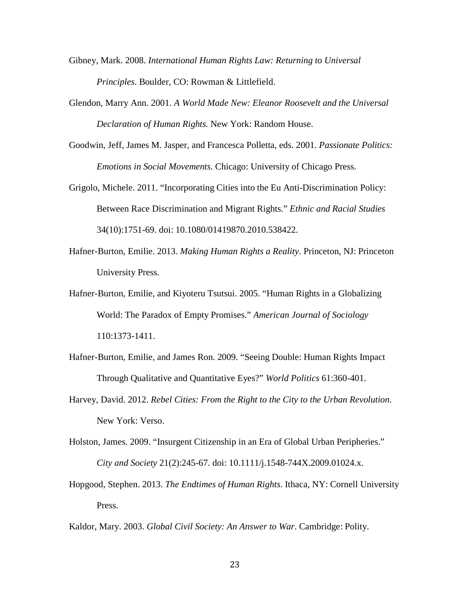- Gibney, Mark. 2008. *International Human Rights Law: Returning to Universal Principles*. Boulder, CO: Rowman & Littlefield.
- Glendon, Marry Ann. 2001. *A World Made New: Eleanor Roosevelt and the Universal Declaration of Human Rights.* New York: Random House.
- Goodwin, Jeff, James M. Jasper, and Francesca Polletta, eds. 2001. *Passionate Politics: Emotions in Social Movements*. Chicago: University of Chicago Press.
- Grigolo, Michele. 2011. "Incorporating Cities into the Eu Anti-Discrimination Policy: Between Race Discrimination and Migrant Rights." *Ethnic and Racial Studies* 34(10):1751-69. doi: 10.1080/01419870.2010.538422.
- Hafner-Burton, Emilie. 2013. *Making Human Rights a Reality*. Princeton, NJ: Princeton University Press.
- Hafner-Burton, Emilie, and Kiyoteru Tsutsui. 2005. "Human Rights in a Globalizing World: The Paradox of Empty Promises." *American Journal of Sociology* 110:1373-1411.
- Hafner-Burton, Emilie, and James Ron. 2009. "Seeing Double: Human Rights Impact Through Qualitative and Quantitative Eyes?" *World Politics* 61:360-401.
- Harvey, David. 2012. *Rebel Cities: From the Right to the City to the Urban Revolution*. New York: Verso.
- Holston, James. 2009. "Insurgent Citizenship in an Era of Global Urban Peripheries." *City and Society* 21(2):245-67. doi: 10.1111/j.1548-744X.2009.01024.x.
- Hopgood, Stephen. 2013. *The Endtimes of Human Rights*. Ithaca, NY: Cornell University Press.

Kaldor, Mary. 2003. *Global Civil Society: An Answer to War*. Cambridge: Polity.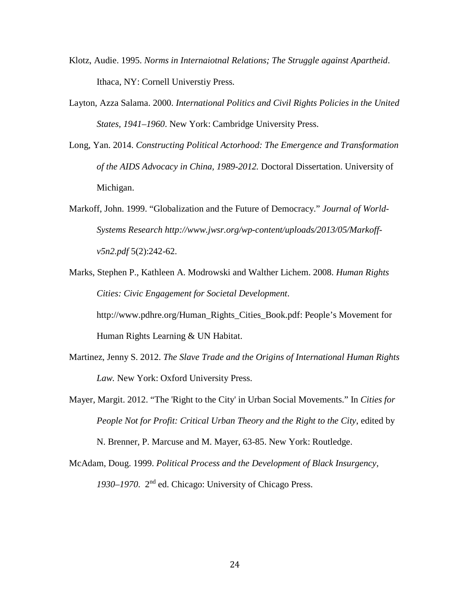- Klotz, Audie. 1995. *Norms in Internaiotnal Relations; The Struggle against Apartheid*. Ithaca, NY: Cornell Universtiy Press.
- Layton, Azza Salama. 2000. *International Politics and Civil Rights Policies in the United States, 1941–1960*. New York: Cambridge University Press.
- Long, Yan. 2014. *Constructing Political Actorhood: The Emergence and Transformation of the AIDS Advocacy in China, 1989-2012.* Doctoral Dissertation. University of Michigan.
- Markoff, John. 1999. "Globalization and the Future of Democracy." *Journal of World-Systems Research http://www.jwsr.org/wp-content/uploads/2013/05/Markoffv5n2.pdf* 5(2):242-62.
- Marks, Stephen P., Kathleen A. Modrowski and Walther Lichem. 2008. *Human Rights Cities: Civic Engagement for Societal Development*. http://www.pdhre.org/Human\_Rights\_Cities\_Book.pdf: People's Movement for Human Rights Learning & UN Habitat.
- Martinez, Jenny S. 2012. *The Slave Trade and the Origins of International Human Rights Law.* New York: Oxford University Press.
- Mayer, Margit. 2012. "The 'Right to the City' in Urban Social Movements." In *Cities for People Not for Profit: Critical Urban Theory and the Right to the City*, edited by N. Brenner, P. Marcuse and M. Mayer, 63-85. New York: Routledge.
- McAdam, Doug. 1999. *Political Process and the Development of Black Insurgency, 1930–1970*. 2nd ed. Chicago: University of Chicago Press.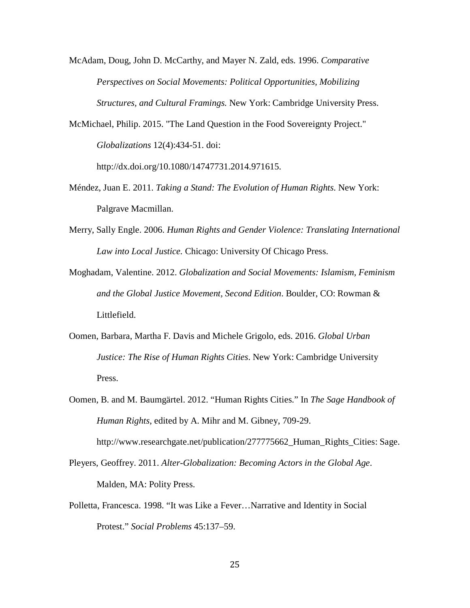McAdam, Doug, John D. McCarthy, and Mayer N. Zald, eds. 1996. *Comparative Perspectives on Social Movements: Political Opportunities, Mobilizing Structures, and Cultural Framings.* New York: Cambridge University Press.

McMichael, Philip. 2015. "The Land Question in the Food Sovereignty Project." *Globalizations* 12(4):434-51. doi: http://dx.doi.org/10.1080/14747731.2014.971615.

- Méndez, Juan E. 2011. *Taking a Stand: The Evolution of Human Rights*. New York: Palgrave Macmillan.
- Merry, Sally Engle. 2006. *Human Rights and Gender Violence: Translating International Law into Local Justice.* Chicago: University Of Chicago Press.
- Moghadam, Valentine. 2012. *Globalization and Social Movements: Islamism, Feminism and the Global Justice Movement, Second Edition*. Boulder, CO: Rowman & Littlefield.
- Oomen, Barbara, Martha F. Davis and Michele Grigolo, eds. 2016. *Global Urban Justice: The Rise of Human Rights Cities*. New York: Cambridge University Press.
- Oomen, B. and M. Baumgärtel. 2012. "Human Rights Cities." In *The Sage Handbook of Human Rights*, edited by A. Mihr and M. Gibney, 709-29.

http://www.researchgate.net/publication/277775662\_Human\_Rights\_Cities: Sage.

- Pleyers, Geoffrey. 2011. *Alter-Globalization: Becoming Actors in the Global Age*. Malden, MA: Polity Press.
- Polletta, Francesca. 1998. "It was Like a Fever…Narrative and Identity in Social Protest." *Social Problems* 45:137–59.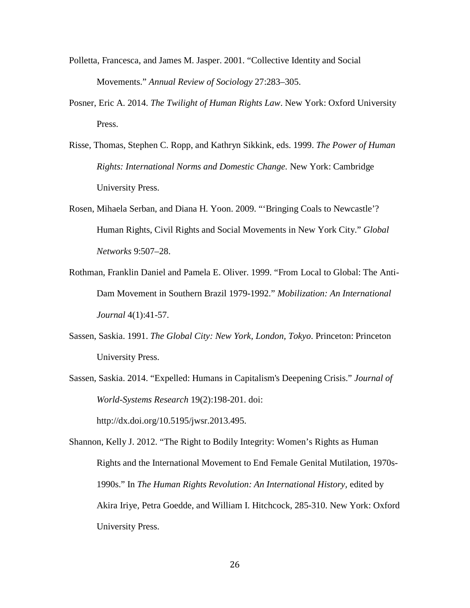- Polletta, Francesca, and James M. Jasper. 2001. "Collective Identity and Social Movements." *Annual Review of Sociology* 27:283–305.
- Posner, Eric A. 2014. *The Twilight of Human Rights Law*. New York: Oxford University Press.
- Risse, Thomas, Stephen C. Ropp, and Kathryn Sikkink, eds. 1999. *The Power of Human Rights: International Norms and Domestic Change.* New York: Cambridge University Press.
- Rosen, Mihaela Serban, and Diana H. Yoon. 2009. "'Bringing Coals to Newcastle'? Human Rights, Civil Rights and Social Movements in New York City." *Global Networks* 9:507–28.
- Rothman, Franklin Daniel and Pamela E. Oliver. 1999. "From Local to Global: The Anti-Dam Movement in Southern Brazil 1979-1992." *Mobilization: An International Journal* 4(1):41-57.
- Sassen, Saskia. 1991. *The Global City: New York, London, Tokyo*. Princeton: Princeton University Press.
- Sassen, Saskia. 2014. "Expelled: Humans in Capitalism's Deepening Crisis." *Journal of World-Systems Research* 19(2):198-201. doi:

http://dx.doi.org/10.5195/jwsr.2013.495.

Shannon, Kelly J. 2012. "The Right to Bodily Integrity: Women's Rights as Human Rights and the International Movement to End Female Genital Mutilation, 1970s-1990s." In *The Human Rights Revolution: An International History,* edited by Akira Iriye, Petra Goedde, and William I. Hitchcock, 285-310. New York: Oxford University Press.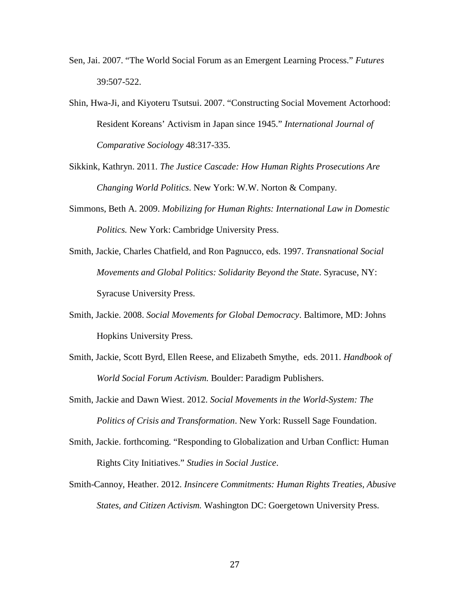- Sen, Jai. 2007. "The World Social Forum as an Emergent Learning Process." *Futures* 39:507-522.
- Shin, Hwa-Ji, and Kiyoteru Tsutsui. 2007. "Constructing Social Movement Actorhood: Resident Koreans' Activism in Japan since 1945." *International Journal of Comparative Sociology* 48:317-335.
- Sikkink, Kathryn. 2011. *The Justice Cascade: How Human Rights Prosecutions Are Changing World Politics*. New York: W.W. Norton & Company.
- Simmons, Beth A. 2009. *Mobilizing for Human Rights: International Law in Domestic Politics.* New York: Cambridge University Press.
- Smith, Jackie, Charles Chatfield, and Ron Pagnucco, eds. 1997. *Transnational Social Movements and Global Politics: Solidarity Beyond the State*. Syracuse, NY: Syracuse University Press.
- Smith, Jackie. 2008. *Social Movements for Global Democracy*. Baltimore, MD: Johns Hopkins University Press.
- Smith, Jackie, Scott Byrd, Ellen Reese, and Elizabeth Smythe, eds. 2011. *Handbook of World Social Forum Activism.* Boulder: Paradigm Publishers.
- Smith, Jackie and Dawn Wiest. 2012. *Social Movements in the World-System: The Politics of Crisis and Transformation*. New York: Russell Sage Foundation.
- Smith, Jackie. forthcoming. "Responding to Globalization and Urban Conflict: Human Rights City Initiatives." *Studies in Social Justice*.
- Smith-Cannoy, Heather. 2012. *Insincere Commitments: Human Rights Treaties, Abusive States, and Citizen Activism.* Washington DC: Goergetown University Press.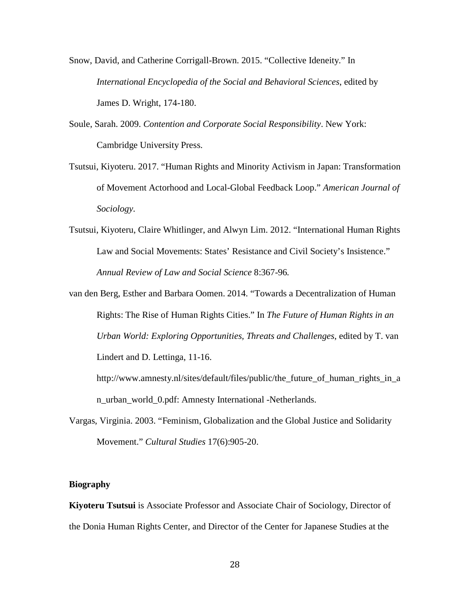Snow, David, and Catherine Corrigall-Brown. 2015. "Collective Ideneity." In *International Encyclopedia of the Social and Behavioral Sciences*, edited by James D. Wright, 174-180.

- Soule, Sarah. 2009. *Contention and Corporate Social Responsibility*. New York: Cambridge University Press.
- Tsutsui, Kiyoteru. 2017. "Human Rights and Minority Activism in Japan: Transformation of Movement Actorhood and Local-Global Feedback Loop." *American Journal of Sociology.*
- Tsutsui, Kiyoteru, Claire Whitlinger, and Alwyn Lim. 2012. "International Human Rights Law and Social Movements: States' Resistance and Civil Society's Insistence." *Annual Review of Law and Social Science* 8:367-96*.*
- van den Berg, Esther and Barbara Oomen. 2014. "Towards a Decentralization of Human Rights: The Rise of Human Rights Cities." In *The Future of Human Rights in an Urban World: Exploring Opportunities, Threats and Challenges*, edited by T. van Lindert and D. Lettinga, 11-16.

http://www.amnesty.nl/sites/default/files/public/the\_future\_of\_human\_rights\_in\_a n\_urban\_world\_0.pdf: Amnesty International -Netherlands.

Vargas, Virginia. 2003. "Feminism, Globalization and the Global Justice and Solidarity Movement." *Cultural Studies* 17(6):905-20.

#### **Biography**

**Kiyoteru Tsutsui** is Associate Professor and Associate Chair of Sociology, Director of the Donia Human Rights Center, and Director of the Center for Japanese Studies at the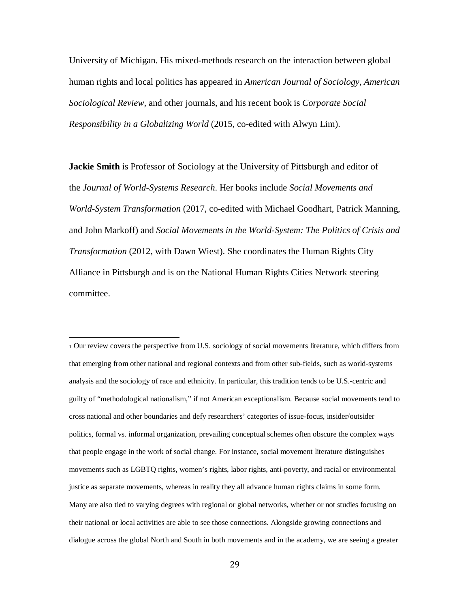University of Michigan. His mixed-methods research on the interaction between global human rights and local politics has appeared in *American Journal of Sociology, American Sociological Review,* and other journals, and his recent book is *Corporate Social Responsibility in a Globalizing World* (2015, co-edited with Alwyn Lim).

**Jackie Smith** is Professor of Sociology at the University of Pittsburgh and editor of the *Journal of World-Systems Research*. Her books include *Social Movements and World-System Transformation* (2017, co-edited with Michael Goodhart, Patrick Manning, and John Markoff) and *Social Movements in the World-System: The Politics of Crisis and Transformation* (2012, with Dawn Wiest). She coordinates the Human Rights City Alliance in Pittsburgh and is on the National Human Rights Cities Network steering committee.

<span id="page-28-0"></span><sup>1</sup> Our review covers the perspective from U.S. sociology of social movements literature, which differs from that emerging from other national and regional contexts and from other sub-fields, such as world-systems analysis and the sociology of race and ethnicity. In particular, this tradition tends to be U.S.-centric and guilty of "methodological nationalism," if not American exceptionalism. Because social movements tend to cross national and other boundaries and defy researchers' categories of issue-focus, insider/outsider politics, formal vs. informal organization, prevailing conceptual schemes often obscure the complex ways that people engage in the work of social change. For instance, social movement literature distinguishes movements such as LGBTQ rights, women's rights, labor rights, anti-poverty, and racial or environmental justice as separate movements, whereas in reality they all advance human rights claims in some form. Many are also tied to varying degrees with regional or global networks, whether or not studies focusing on their national or local activities are able to see those connections. Alongside growing connections and dialogue across the global North and South in both movements and in the academy, we are seeing a greater i<br>I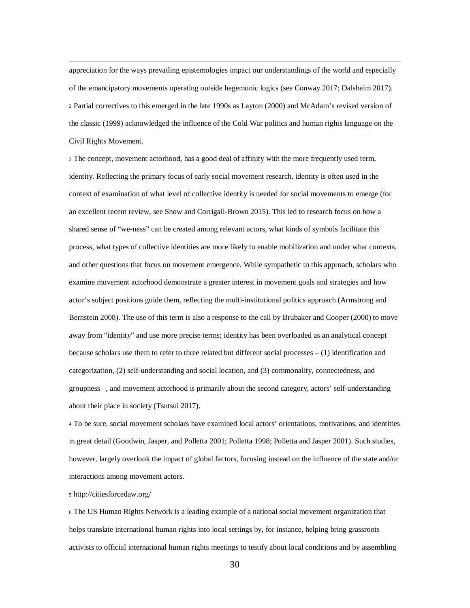<span id="page-29-0"></span> appreciation for the ways prevailing epistemologies impact our understandings of the world and especially of the emancipatory movements operating outside hegemonic logics (see Conway 2017; Dalsheim 2017). <sup>2</sup> Partial correctives to this emerged in the late 1990s as Layton (2000) and McAdam's revised version of the classic (1999) acknowledged the influence of the Cold War politics and human rights language on the Civil Rights Movement.

<span id="page-29-1"></span><sup>3</sup> The concept, movement actorhood, has a good deal of affinity with the more frequently used term, identity. Reflecting the primary focus of early social movement research, identity is often used in the context of examination of what level of collective identity is needed for social movements to emerge (for an excellent recent review, see Snow and Corrigall-Brown 2015). This led to research focus on how a shared sense of "we-ness" can be created among relevant actors, what kinds of symbols facilitate this process, what types of collective identities are more likely to enable mobilization and under what contexts, and other questions that focus on movement emergence. While sympathetic to this approach, scholars who examine movement actorhood demonstrate a greater interest in movement goals and strategies and how actor's subject positions guide them, reflecting the multi-institutional politics approach (Armstrong and Bernstein 2008). The use of this term is also a response to the call by Brubaker and Cooper (2000) to move away from "identity" and use more precise terms; identity has been overloaded as an analytical concept because scholars use them to refer to three related but different social processes  $- (1)$  identification and categorization, (2) self-understanding and social location, and (3) commonality, connectedness, and groupness –, and movement actorhood is primarily about the second category, actors' self-understanding about their place in society (Tsutsui 2017).

<span id="page-29-2"></span><sup>4</sup> To be sure, social movement scholars have examined local actors' orientations, motivations, and identities in great detail (Goodwin, Jasper, and Polletta 2001; Polletta 1998; Polletta and Jasper 2001). Such studies, however, largely overlook the impact of global factors, focusing instead on the influence of the state and/or interactions among movement actors.

#### <span id="page-29-3"></span><sup>5</sup> http://citiesforcedaw.org/

<span id="page-29-4"></span><sup>6</sup> The US Human Rights Network is a leading example of a national social movement organization that helps translate international human rights into local settings by, for instance, helping bring grassroots activists to official international human rights meetings to testify about local conditions and by assembling